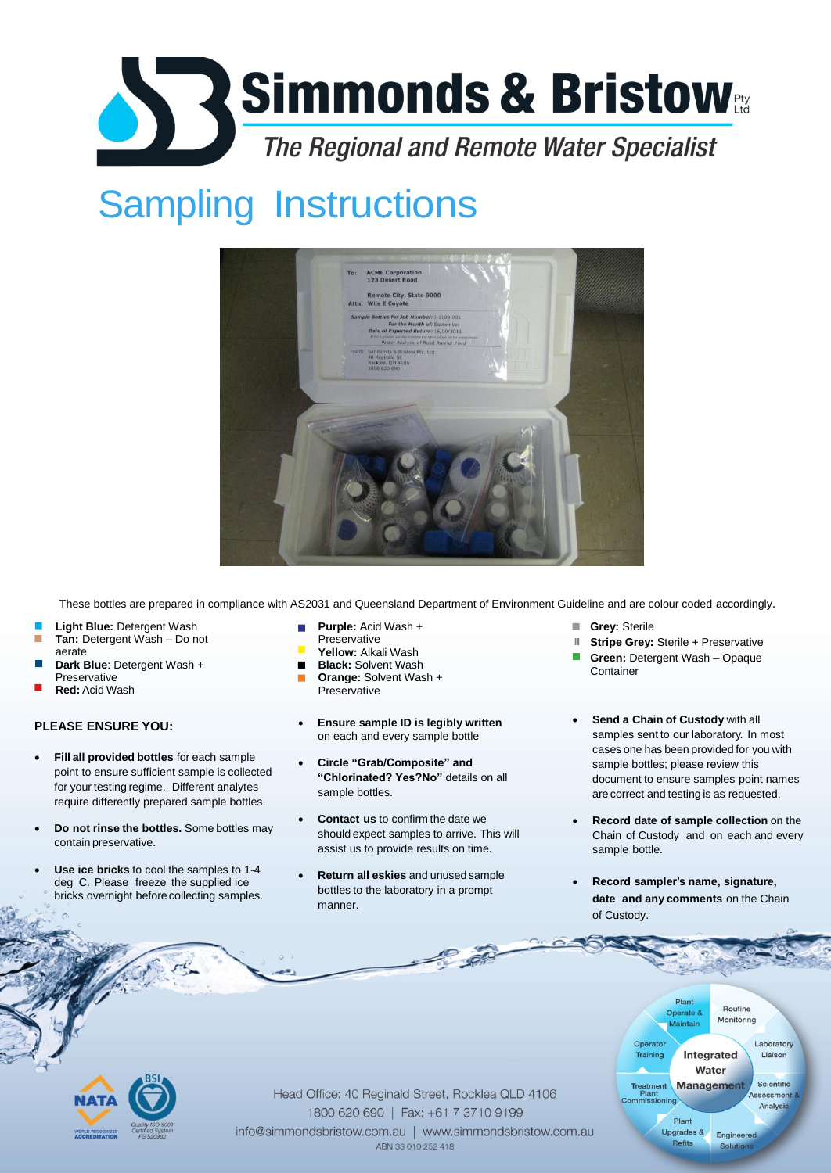# Simmonds & Bristow<sub>ers</sub> **The Regional and Remote Water Specialist**

### Sampling Instructions



These bottles are prepared in compliance with AS2031 and Queensland Department of Environment Guideline and are colour coded accordingly.

- **Light Blue:** Detergent Wash **Tan:** Detergent Wash – Do not m. aerate
- **Dark Blue**: Detergent Wash + Preservative
- **Red:** Acid Wash

#### **PLEASE ENSURE YOU:**

- **Fill all provided bottles** for each sample point to ensure sufficient sample is collected for your testing regime. Different analytes require differently prepared sample bottles.
- **Do not rinse the bottles.** Some bottles may contain preservative.
- **Use ice bricks** to cool the samples to 1-4 deg C. Please freeze the supplied ice bricks overnight before collecting samples.
- **Purple:** Acid Wash +
- Preservative
- **Yellow:** Alkali Wash
- $\blacksquare$ **Black:** Solvent Wash **Orange:** Solvent Wash + П **Preservative**
- **Ensure sample ID is legibly written**  on each and every sample bottle
- **Circle "Grab/Composite" and "Chlorinated? Yes?No"** details on all sample bottles.
- **Contact us** to confirm the date we should expect samples to arrive. This will assist us to provide results on time.
- **Return all eskies** and unused sample bottles to the laboratory in a prompt manner.
- **Grey:** Sterile **The Contract of the Contract of the Contract of the Contract of the Contract of the Contract of The Contract of The Contract of The Contract of The Contract of The Contract of The Contract of The Contract of The Contract**
- **Stripe Grey: Sterile + Preservative** Ш
- **Green:** Detergent Wash Opaque **Container**
- **Send a Chain of Custody** with all samples sent to our laboratory. In most cases one has been provided for you with sample bottles; please review this document to ensure samples point names are correct and testing is as requested.
- **Record date of sample collection** on the Chain of Custody and on each and every sample bottle.
- **Record sampler's name, signature, date and any comments** on the Chain of Custody.



**POST**